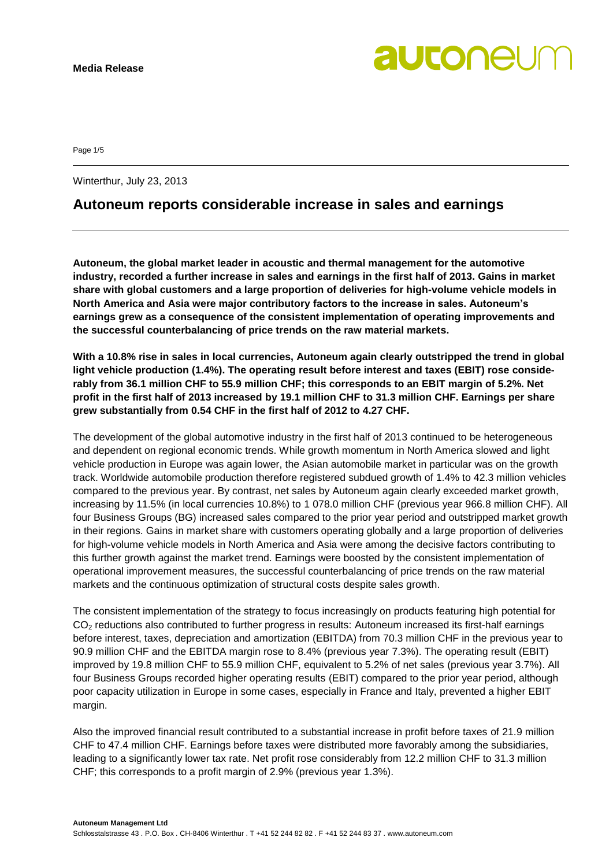Page 1/5

Winterthur, July 23, 2013

### **Autoneum reports considerable increase in sales and earnings**

**Autoneum, the global market leader in acoustic and thermal management for the automotive industry, recorded a further increase in sales and earnings in the first half of 2013. Gains in market share with global customers and a large proportion of deliveries for high-volume vehicle models in North America and Asia were major contributory factors to the increase in sales. Autoneum's earnings grew as a consequence of the consistent implementation of operating improvements and the successful counterbalancing of price trends on the raw material markets.**

**With a 10.8% rise in sales in local currencies, Autoneum again clearly outstripped the trend in global light vehicle production (1.4%). The operating result before interest and taxes (EBIT) rose considerably from 36.1 million CHF to 55.9 million CHF; this corresponds to an EBIT margin of 5.2%. Net profit in the first half of 2013 increased by 19.1 million CHF to 31.3 million CHF. Earnings per share grew substantially from 0.54 CHF in the first half of 2012 to 4.27 CHF.**

The development of the global automotive industry in the first half of 2013 continued to be heterogeneous and dependent on regional economic trends. While growth momentum in North America slowed and light vehicle production in Europe was again lower, the Asian automobile market in particular was on the growth track. Worldwide automobile production therefore registered subdued growth of 1.4% to 42.3 million vehicles compared to the previous year. By contrast, net sales by Autoneum again clearly exceeded market growth, increasing by 11.5% (in local currencies 10.8%) to 1 078.0 million CHF (previous year 966.8 million CHF). All four Business Groups (BG) increased sales compared to the prior year period and outstripped market growth in their regions. Gains in market share with customers operating globally and a large proportion of deliveries for high-volume vehicle models in North America and Asia were among the decisive factors contributing to this further growth against the market trend. Earnings were boosted by the consistent implementation of operational improvement measures, the successful counterbalancing of price trends on the raw material markets and the continuous optimization of structural costs despite sales growth.

The consistent implementation of the strategy to focus increasingly on products featuring high potential for CO<sub>2</sub> reductions also contributed to further progress in results: Autoneum increased its first-half earnings before interest, taxes, depreciation and amortization (EBITDA) from 70.3 million CHF in the previous year to 90.9 million CHF and the EBITDA margin rose to 8.4% (previous year 7.3%). The operating result (EBIT) improved by 19.8 million CHF to 55.9 million CHF, equivalent to 5.2% of net sales (previous year 3.7%). All four Business Groups recorded higher operating results (EBIT) compared to the prior year period, although poor capacity utilization in Europe in some cases, especially in France and Italy, prevented a higher EBIT margin.

Also the improved financial result contributed to a substantial increase in profit before taxes of 21.9 million CHF to 47.4 million CHF. Earnings before taxes were distributed more favorably among the subsidiaries, leading to a significantly lower tax rate. Net profit rose considerably from 12.2 million CHF to 31.3 million CHF; this corresponds to a profit margin of 2.9% (previous year 1.3%).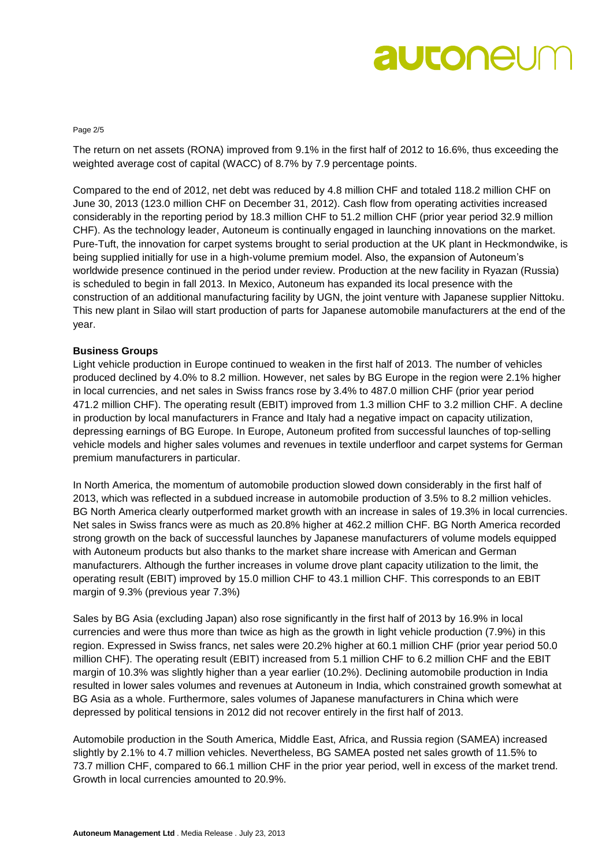# autoneur

#### Page 2/5

The return on net assets (RONA) improved from 9.1% in the first half of 2012 to 16.6%, thus exceeding the weighted average cost of capital (WACC) of 8.7% by 7.9 percentage points.

Compared to the end of 2012, net debt was reduced by 4.8 million CHF and totaled 118.2 million CHF on June 30, 2013 (123.0 million CHF on December 31, 2012). Cash flow from operating activities increased considerably in the reporting period by 18.3 million CHF to 51.2 million CHF (prior year period 32.9 million CHF). As the technology leader, Autoneum is continually engaged in launching innovations on the market. Pure-Tuft, the innovation for carpet systems brought to serial production at the UK plant in Heckmondwike, is being supplied initially for use in a high-volume premium model. Also, the expansion of Autoneum's worldwide presence continued in the period under review. Production at the new facility in Ryazan (Russia) is scheduled to begin in fall 2013. In Mexico, Autoneum has expanded its local presence with the construction of an additional manufacturing facility by UGN, the joint venture with Japanese supplier Nittoku. This new plant in Silao will start production of parts for Japanese automobile manufacturers at the end of the year.

#### **Business Groups**

Light vehicle production in Europe continued to weaken in the first half of 2013. The number of vehicles produced declined by 4.0% to 8.2 million. However, net sales by BG Europe in the region were 2.1% higher in local currencies, and net sales in Swiss francs rose by 3.4% to 487.0 million CHF (prior year period 471.2 million CHF). The operating result (EBIT) improved from 1.3 million CHF to 3.2 million CHF. A decline in production by local manufacturers in France and Italy had a negative impact on capacity utilization, depressing earnings of BG Europe. In Europe, Autoneum profited from successful launches of top-selling vehicle models and higher sales volumes and revenues in textile underfloor and carpet systems for German premium manufacturers in particular.

In North America, the momentum of automobile production slowed down considerably in the first half of 2013, which was reflected in a subdued increase in automobile production of 3.5% to 8.2 million vehicles. BG North America clearly outperformed market growth with an increase in sales of 19.3% in local currencies. Net sales in Swiss francs were as much as 20.8% higher at 462.2 million CHF. BG North America recorded strong growth on the back of successful launches by Japanese manufacturers of volume models equipped with Autoneum products but also thanks to the market share increase with American and German manufacturers. Although the further increases in volume drove plant capacity utilization to the limit, the operating result (EBIT) improved by 15.0 million CHF to 43.1 million CHF. This corresponds to an EBIT margin of 9.3% (previous year 7.3%)

Sales by BG Asia (excluding Japan) also rose significantly in the first half of 2013 by 16.9% in local currencies and were thus more than twice as high as the growth in light vehicle production (7.9%) in this region. Expressed in Swiss francs, net sales were 20.2% higher at 60.1 million CHF (prior year period 50.0 million CHF). The operating result (EBIT) increased from 5.1 million CHF to 6.2 million CHF and the EBIT margin of 10.3% was slightly higher than a year earlier (10.2%). Declining automobile production in India resulted in lower sales volumes and revenues at Autoneum in India, which constrained growth somewhat at BG Asia as a whole. Furthermore, sales volumes of Japanese manufacturers in China which were depressed by political tensions in 2012 did not recover entirely in the first half of 2013.

Automobile production in the South America, Middle East, Africa, and Russia region (SAMEA) increased slightly by 2.1% to 4.7 million vehicles. Nevertheless, BG SAMEA posted net sales growth of 11.5% to 73.7 million CHF, compared to 66.1 million CHF in the prior year period, well in excess of the market trend. Growth in local currencies amounted to 20.9%.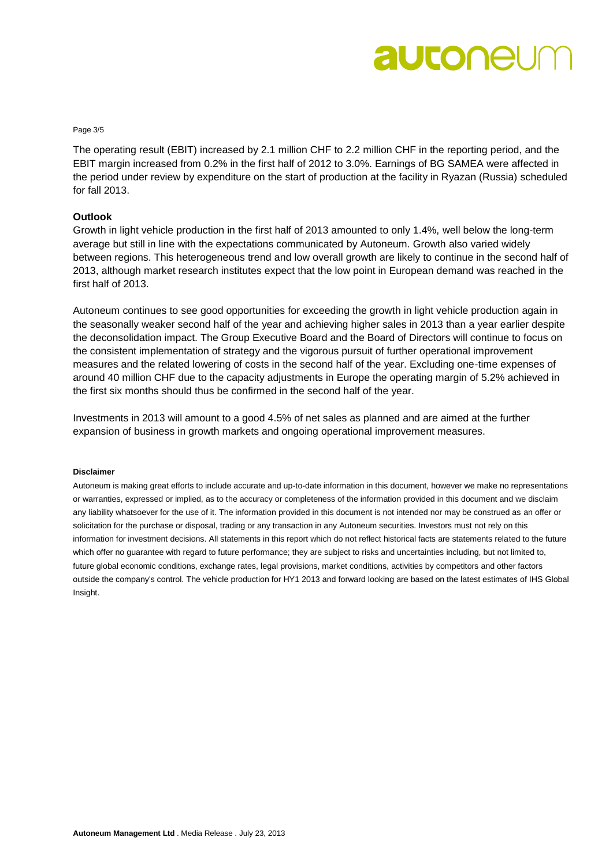### autoneur

Page 3/5

The operating result (EBIT) increased by 2.1 million CHF to 2.2 million CHF in the reporting period, and the EBIT margin increased from 0.2% in the first half of 2012 to 3.0%. Earnings of BG SAMEA were affected in the period under review by expenditure on the start of production at the facility in Ryazan (Russia) scheduled for fall 2013.

#### **Outlook**

Growth in light vehicle production in the first half of 2013 amounted to only 1.4%, well below the long-term average but still in line with the expectations communicated by Autoneum. Growth also varied widely between regions. This heterogeneous trend and low overall growth are likely to continue in the second half of 2013, although market research institutes expect that the low point in European demand was reached in the first half of 2013.

Autoneum continues to see good opportunities for exceeding the growth in light vehicle production again in the seasonally weaker second half of the year and achieving higher sales in 2013 than a year earlier despite the deconsolidation impact. The Group Executive Board and the Board of Directors will continue to focus on the consistent implementation of strategy and the vigorous pursuit of further operational improvement measures and the related lowering of costs in the second half of the year. Excluding one-time expenses of around 40 million CHF due to the capacity adjustments in Europe the operating margin of 5.2% achieved in the first six months should thus be confirmed in the second half of the year.

Investments in 2013 will amount to a good 4.5% of net sales as planned and are aimed at the further expansion of business in growth markets and ongoing operational improvement measures.

#### **Disclaimer**

Autoneum is making great efforts to include accurate and up-to-date information in this document, however we make no representations or warranties, expressed or implied, as to the accuracy or completeness of the information provided in this document and we disclaim any liability whatsoever for the use of it. The information provided in this document is not intended nor may be construed as an offer or solicitation for the purchase or disposal, trading or any transaction in any Autoneum securities. Investors must not rely on this information for investment decisions. All statements in this report which do not reflect historical facts are statements related to the future which offer no guarantee with regard to future performance; they are subject to risks and uncertainties including, but not limited to, future global economic conditions, exchange rates, legal provisions, market conditions, activities by competitors and other factors outside the company's control. The vehicle production for HY1 2013 and forward looking are based on the latest estimates of IHS Global Insight.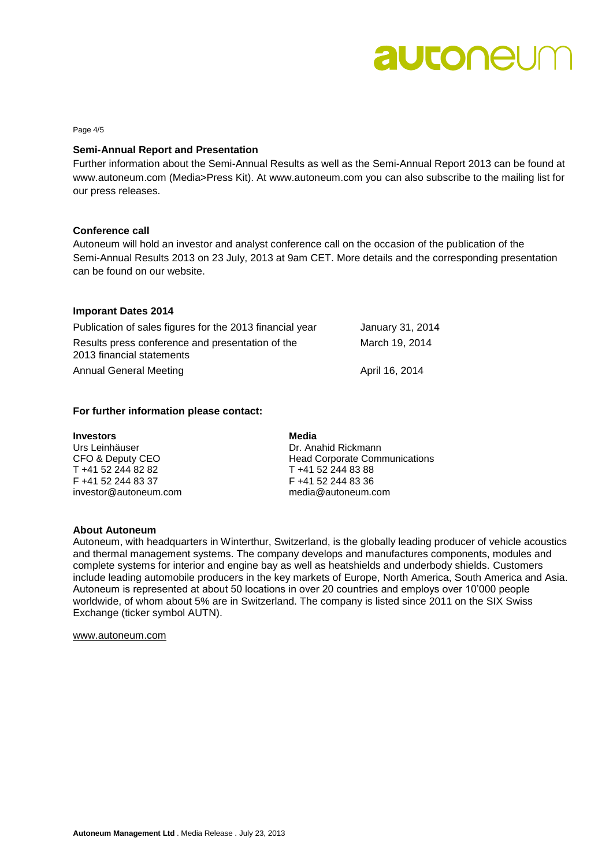### autoneum

Page 4/5

#### **Semi-Annual Report and Presentation**

Further information about the Semi-Annual Results as well as the Semi-Annual Report 2013 can be found at www.autoneum.com (Media>Press Kit). At www.autoneum.com you can also subscribe to the mailing list for our press releases.

#### **Conference call**

Autoneum will hold an investor and analyst conference call on the occasion of the publication of the Semi-Annual Results 2013 on 23 July, 2013 at 9am CET. More details and the corresponding presentation can be found on our website.

#### **Imporant Dates 2014**

| Publication of sales figures for the 2013 financial year | January 31, 2014 |
|----------------------------------------------------------|------------------|
| Results press conference and presentation of the         | March 19, 2014   |
| 2013 financial statements                                |                  |
| Annual General Meeting                                   | April 16, 2014   |

#### **For further information please contact:**

| <b>Investors</b>      | Media                                |
|-----------------------|--------------------------------------|
| Urs Leinhäuser        | Dr. Anahid Rickmann                  |
| CFO & Deputy CEO      | <b>Head Corporate Communications</b> |
| T +41 52 244 82 82    | T +41 52 244 83 88                   |
| F +41 52 244 83 37    | F +41 52 244 83 36                   |
| investor@autoneum.com | media@autoneum.com                   |

#### **About Autoneum**

Autoneum, with headquarters in Winterthur, Switzerland, is the globally leading producer of vehicle acoustics and thermal management systems. The company develops and manufactures components, modules and complete systems for interior and engine bay as well as heatshields and underbody shields. Customers include leading automobile producers in the key markets of Europe, North America, South America and Asia. Autoneum is represented at about 50 locations in over 20 countries and employs over 10'000 people worldwide, of whom about 5% are in Switzerland. The company is listed since 2011 on the SIX Swiss Exchange (ticker symbol AUTN).

[www.autoneum.com](http://www.autoneum.com/)